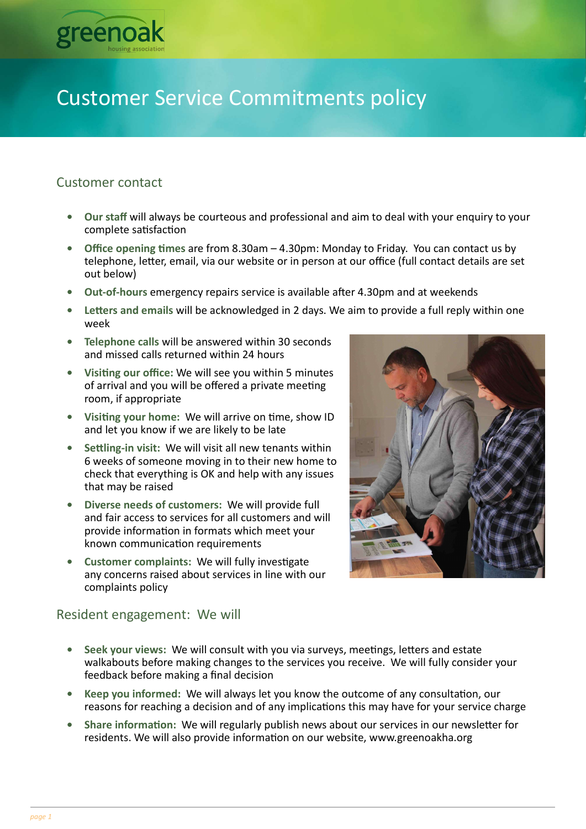

# Customer Service Commitments policy

# Customer contact

- Our staff will always be courteous and professional and aim to deal with your enquiry to your complete satisfaction
- Office opening times are from  $8.30$ am  $-4.30$ pm: Monday to Friday. You can contact us by telephone, letter, email, via our website or in person at our office (full contact details are set out below)
- Out-of-hours emergency repairs service is available after 4.30pm and at weekends
- Letters and emails will be acknowledged in 2 days. We aim to provide a full reply within one week
- Telephone calls will be answered within 30 seconds and missed calls returned within 24 hours
- Visiting our office: We will see you within 5 minutes of arrival and you will be offered a private meeting room, if appropriate
- Visiting your home: We will arrive on time, show ID and let you know if we are likely to be late
- Settling-in visit: We will visit all new tenants within 6 weeks of someone moving in to their new home to check that everything is OK and help with any issues that may be raised
- Diverse needs of customers: We will provide full and fair access to services for all customers and will provide information in formats which meet your known communication requirements
- Customer complaints: We will fully investigate any concerns raised about services in line with our complaints policy



# Resident engagement: We will

- Seek your views: We will consult with you via surveys, meetings, letters and estate walkabouts before making changes to the services you receive. We will fully consider your feedback before making a final decision
- Keep you informed: We will always let you know the outcome of any consultation, our reasons for reaching a decision and of any implications this may have for your service charge
- Share information: We will regularly publish news about our services in our newsletter for residents. We will also provide information on our website, www.greenoakha.org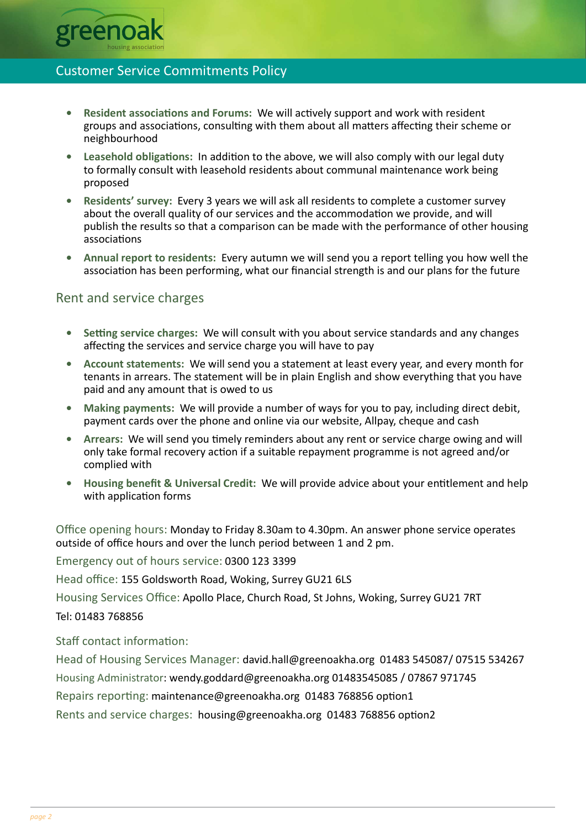

## Customer Service Commitments Policy

- Resident associations and Forums: We will actively support and work with resident groups and associations, consulting with them about all matters affecting their scheme or neighbourhood
- Leasehold obligations: In addition to the above, we will also comply with our legal duty to formally consult with leasehold residents about communal maintenance work being proposed
- Residents' survey: Every 3 years we will ask all residents to complete a customer survey about the overall quality of our services and the accommodation we provide, and will publish the results so that a comparison can be made with the performance of other housing associations
- Annual report to residents: Every autumn we will send you a report telling you how well the association has been performing, what our financial strength is and our plans for the future

### Rent and service charges

- Setting service charges: We will consult with you about service standards and any changes affecting the services and service charge you will have to pay
- Account statements: We will send you a statement at least every year, and every month for tenants in arrears. The statement will be in plain English and show everything that you have paid and any amount that is owed to us
- Making payments: We will provide a number of ways for you to pay, including direct debit, payment cards over the phone and online via our website, Allpay, cheque and cash
- Arrears: We will send you timely reminders about any rent or service charge owing and will only take formal recovery action if a suitable repayment programme is not agreed and/or complied with
- Housing benefit & Universal Credit: We will provide advice about your entitlement and help with application forms

Office opening hours: Monday to Friday 8.30am to 4.30pm. An answer phone service operates outside of office hours and over the lunch period between 1 and 2 pm.

Emergency out of hours service: 0300 123 3399

Head office: 155 Goldsworth Road, Woking, Surrey GU21 6LS

Housing Services Office: Apollo Place, Church Road, St Johns, Woking, Surrey GU21 7RT

#### Tel: 01483 768856

Staff contact information:

Head of Housing Services Manager: david.hall@greenoakha.org 01483 545087/ 07515 534267 Housing Administrator: wendy.goddard@greenoakha.org 01483545085 / 07867 971745 Repairs reporting: maintenance@greenoakha.org 01483 768856 option1 Rents and service charges: housing@greenoakha.org 01483 768856 option2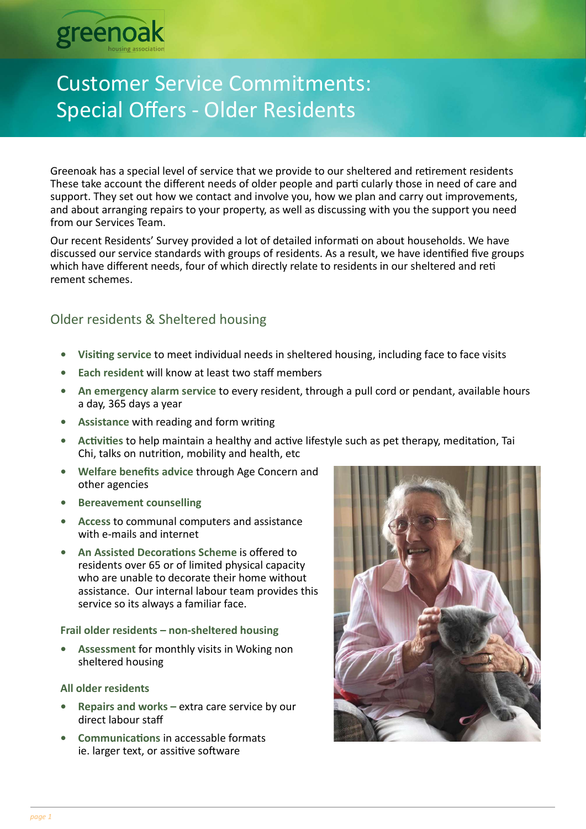

# Customer Service Commitments: Special Offers - Older Residents

Greenoak has a special level of service that we provide to our sheltered and retirement residents These take account the different needs of older people and parti cularly those in need of care and support. They set out how we contact and involve you, how we plan and carry out improvements, and about arranging repairs to your property, as well as discussing with you the support you need from our Services Team.

Our recent Residents' Survey provided a lot of detailed informati on about households. We have discussed our service standards with groups of residents. As a result, we have identified five groups which have different needs, four of which directly relate to residents in our sheltered and reti rement schemes.

# Older residents & Sheltered housing

- Visiting service to meet individual needs in sheltered housing, including face to face visits
- Each resident will know at least two staff members
- An emergency alarm service to every resident, through a pull cord or pendant, available hours a day, 365 days a year
- Assistance with reading and form writing
- Activities to help maintain a healthy and active lifestyle such as pet therapy, meditation, Tai Chi, talks on nutrition, mobility and health, etc
- Welfare benefits advice through Age Concern and other agencies
- **Bereavement counselling**
- Access to communal computers and assistance with e-mails and internet
- An Assisted Decorations Scheme is offered to residents over 65 or of limited physical capacity who are unable to decorate their home without assistance. Our internal labour team provides this service so its always a familiar face.

#### Frail older residents – non-sheltered housing

• Assessment for monthly visits in Woking non sheltered housing

#### All older residents

- Repairs and works extra care service by our direct labour staff
- Communications in accessable formats ie. larger text, or assitive software